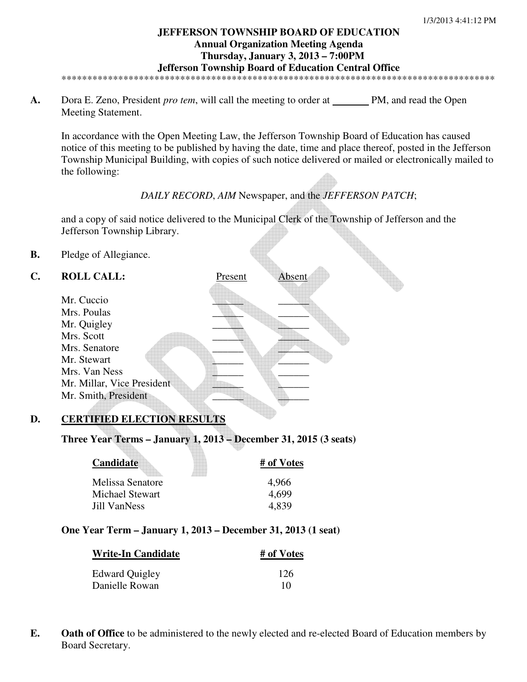## **JEFFERSON TOWNSHIP BOARD OF EDUCATION Annual Organization Meeting Agenda Thursday, January 3, 2013 – 7:00PM Jefferson Township Board of Education Central Office**

\*\*\*\*\*\*\*\*\*\*\*\*\*\*\*\*\*\*\*\*\*\*\*\*\*\*\*\*\*\*\*\*\*\*\*\*\*\*\*\*\*\*\*\*\*\*\*\*\*\*\*\*\*\*\*\*\*\*\*\*\*\*\*\*\*\*\*\*\*\*\*\*\*\*\*\*\*\*\*\*\*\*\*\*

**A.** Dora E. Zeno, President *pro tem*, will call the meeting to order at PM, and read the Open Meeting Statement.

In accordance with the Open Meeting Law, the Jefferson Township Board of Education has caused notice of this meeting to be published by having the date, time and place thereof, posted in the Jefferson Township Municipal Building, with copies of such notice delivered or mailed or electronically mailed to the following:

## *DAILY RECORD*, *AIM* Newspaper, and the *JEFFERSON PATCH*;

and a copy of said notice delivered to the Municipal Clerk of the Township of Jefferson and the Jefferson Township Library.

**B.** Pledge of Allegiance.

## **C. ROLL CALL:** Present Absent

| Mr. Cuccio                 |  |
|----------------------------|--|
| Mrs. Poulas                |  |
| Mr. Quigley                |  |
| Mrs. Scott                 |  |
| Mrs. Senatore              |  |
| Mr. Stewart                |  |
| Mrs. Van Ness              |  |
| Mr. Millar, Vice President |  |
| Mr. Smith, President       |  |

# **D. CERTIFIED ELECTION RESULTS**

**Three Year Terms – January 1, 2013 – December 31, 2015 (3 seats)** 

| Candidate        | # of Votes |
|------------------|------------|
| Melissa Senatore | 4,966      |
| Michael Stewart  | 4.699      |
| Jill VanNess     | 4.839      |

## **One Year Term – January 1, 2013 – December 31, 2013 (1 seat)**

| <b>Write-In Candidate</b> | # of Votes |
|---------------------------|------------|
| Edward Quigley            | 126        |
| Danielle Rowan            | 10         |

**E. Oath of Office** to be administered to the newly elected and re-elected Board of Education members by Board Secretary.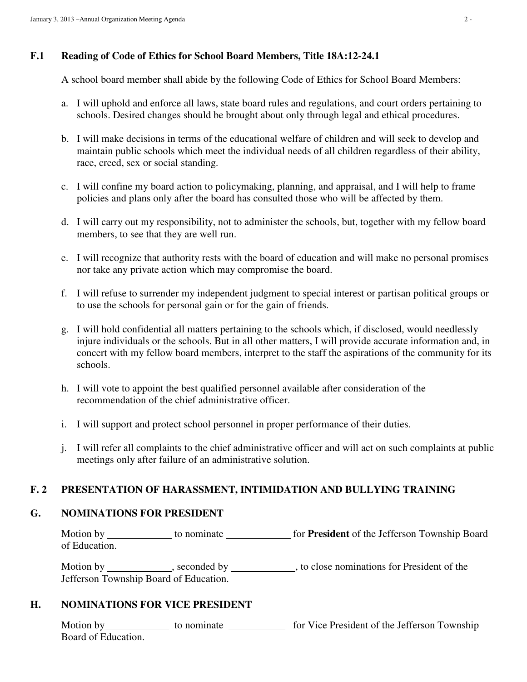## **F.1 Reading of Code of Ethics for School Board Members, Title 18A:12-24.1**

A school board member shall abide by the following Code of Ethics for School Board Members:

- a. I will uphold and enforce all laws, state board rules and regulations, and court orders pertaining to schools. Desired changes should be brought about only through legal and ethical procedures.
- b. I will make decisions in terms of the educational welfare of children and will seek to develop and maintain public schools which meet the individual needs of all children regardless of their ability, race, creed, sex or social standing.
- c. I will confine my board action to policymaking, planning, and appraisal, and I will help to frame policies and plans only after the board has consulted those who will be affected by them.
- d. I will carry out my responsibility, not to administer the schools, but, together with my fellow board members, to see that they are well run.
- e. I will recognize that authority rests with the board of education and will make no personal promises nor take any private action which may compromise the board.
- f. I will refuse to surrender my independent judgment to special interest or partisan political groups or to use the schools for personal gain or for the gain of friends.
- g. I will hold confidential all matters pertaining to the schools which, if disclosed, would needlessly injure individuals or the schools. But in all other matters, I will provide accurate information and, in concert with my fellow board members, interpret to the staff the aspirations of the community for its schools.
- h. I will vote to appoint the best qualified personnel available after consideration of the recommendation of the chief administrative officer.
- i. I will support and protect school personnel in proper performance of their duties.
- j. I will refer all complaints to the chief administrative officer and will act on such complaints at public meetings only after failure of an administrative solution.

# **F. 2 PRESENTATION OF HARASSMENT, INTIMIDATION AND BULLYING TRAINING**

# **G. NOMINATIONS FOR PRESIDENT**

Motion by \_\_\_\_\_\_\_\_\_\_\_\_ to nominate \_\_\_\_\_\_\_\_\_\_\_\_\_ for **President** of the Jefferson Township Board of Education.

Motion by \_\_\_\_\_\_\_\_\_\_, seconded by \_\_\_\_\_\_\_\_\_, to close nominations for President of the Jefferson Township Board of Education.

# **H. NOMINATIONS FOR VICE PRESIDENT**

Motion by to nominate for Vice President of the Jefferson Township Board of Education.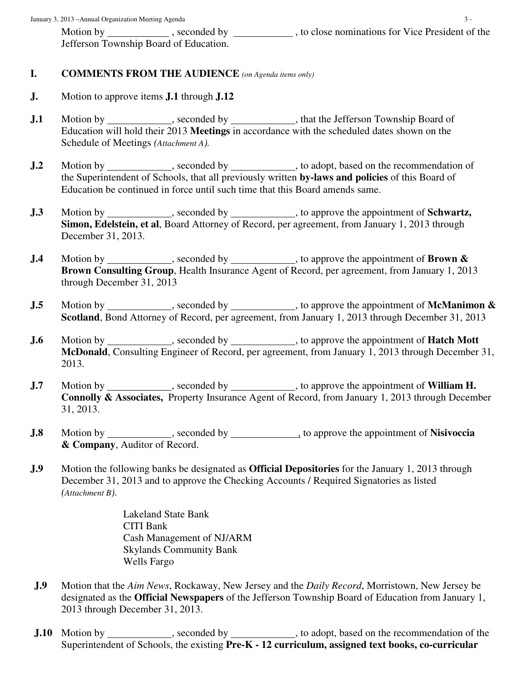Motion by seconded by seconded by seconded by seconded by seconded by seconded by seconded by seconded by seconded by seconded by seconded by seconded by seconded by seconded by seconded by seconded by seconded by seconded Jefferson Township Board of Education.

#### **I. COMMENTS FROM THE AUDIENCE** *(on Agenda items only)*

- **J.** Motion to approve items **J.1** through **J.12**
- **J.1** Motion by seconded by that the Jefferson Township Board of Education will hold their 2013 **Meetings** in accordance with the scheduled dates shown on the Schedule of Meetings *(Attachment A).*
- **J.2** Motion by seconded by seconded by seconded by seconded by set of a seconder based on the recommendation of the Superintendent of Schools, that all previously written **by-laws and policies** of this Board of Education be continued in force until such time that this Board amends same.
- **J.3** Motion by seconded by seconded by to approve the appointment of **Schwartz**, **Simon, Edelstein, et al**, Board Attorney of Record, per agreement, from January 1, 2013 through December 31, 2013.
- **J.4** Motion by seconded by seconded by seconded by seconded by seconded by set of **Brown & Brown Consulting Group**, Health Insurance Agent of Record, per agreement, from January 1, 2013 through December 31, 2013
- **J.5** Motion by seconded by seconded by seconders we have pointment of **McManimon & Scotland**, Bond Attorney of Record, per agreement, from January 1, 2013 through December 31, 2013
- **J.6** Motion by seconded by seconded by seconded by seconded by seconded by seconded by seconded by seconded by seconded by seconded by seconded by seconded by seconded by seconded by seconded by seconded by seconded by se **McDonald**, Consulting Engineer of Record, per agreement, from January 1, 2013 through December 31, 2013.
- **J.7** Motion by seconded by seconded by seconded by seconded by seconded by set of **William H. Connolly & Associates,** Property Insurance Agent of Record, from January 1, 2013 through December 31, 2013.
- **J.8** Motion by seconded by seconded by seconded by seconded by settled appointment of **Nisivoccia & Company**, Auditor of Record.
- **J.9** Motion the following banks be designated as **Official Depositories** for the January 1, 2013 through December 31, 2013 and to approve the Checking Accounts / Required Signatories as listed *(Attachment B)*.

 Lakeland State Bank CITI Bank Cash Management of NJ/ARM Skylands Community Bank Wells Fargo

- **J.9** Motion that the *Aim News*, Rockaway, New Jersey and the *Daily Record*, Morristown, New Jersey be designated as the **Official Newspapers** of the Jefferson Township Board of Education from January 1, 2013 through December 31, 2013.
- **J.10** Motion by , seconded by , to adopt, based on the recommendation of the Superintendent of Schools, the existing **Pre-K - 12 curriculum, assigned text books, co-curricular**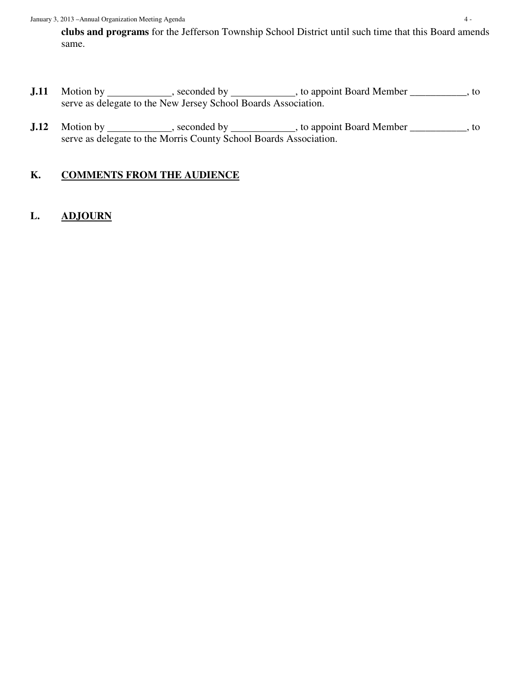**clubs and programs** for the Jefferson Township School District until such time that this Board amends same.

- **J.11** Motion by \_\_\_\_\_\_\_\_\_\_\_, seconded by \_\_\_\_\_\_\_\_\_\_\_, to appoint Board Member \_\_\_\_\_\_\_\_\_, to serve as delegate to the New Jersey School Boards Association.
- **J.12** Motion by seconded by seconded by seconded by seconded by seconded by set of  $\frac{1}{2}$ , to appoint Board Member seconded by seconded by seconded by set of  $\frac{1}{2}$ , to appoint Board Member set of  $\frac{1}{2}$ , to serve as delegate to the Morris County School Boards Association.

# **K. COMMENTS FROM THE AUDIENCE**

# **L. ADJOURN**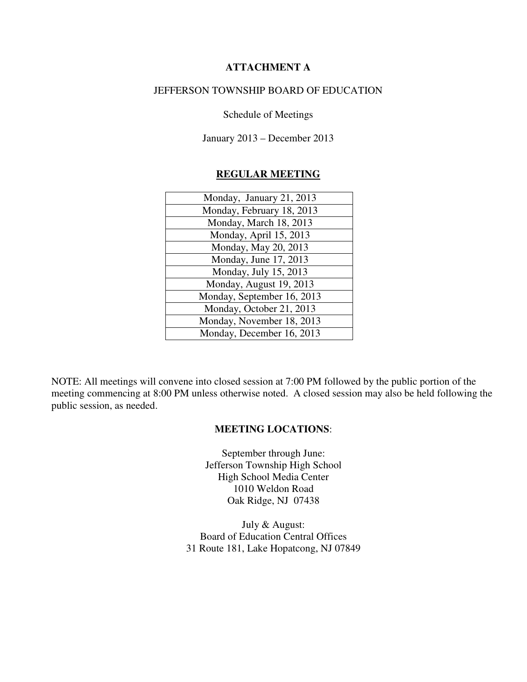## **ATTACHMENT A**

## JEFFERSON TOWNSHIP BOARD OF EDUCATION

Schedule of Meetings

January 2013 – December 2013

## **REGULAR MEETING**

| Monday, January 21, 2013   |
|----------------------------|
| Monday, February 18, 2013  |
| Monday, March 18, 2013     |
| Monday, April 15, 2013     |
| Monday, May 20, 2013       |
| Monday, June 17, 2013      |
| Monday, July 15, 2013      |
| Monday, August 19, 2013    |
| Monday, September 16, 2013 |
| Monday, October 21, 2013   |
| Monday, November 18, 2013  |
| Monday, December 16, 2013  |

NOTE: All meetings will convene into closed session at 7:00 PM followed by the public portion of the meeting commencing at 8:00 PM unless otherwise noted. A closed session may also be held following the public session, as needed.

## **MEETING LOCATIONS**:

September through June: Jefferson Township High School High School Media Center 1010 Weldon Road Oak Ridge, NJ 07438

July & August: Board of Education Central Offices 31 Route 181, Lake Hopatcong, NJ 07849